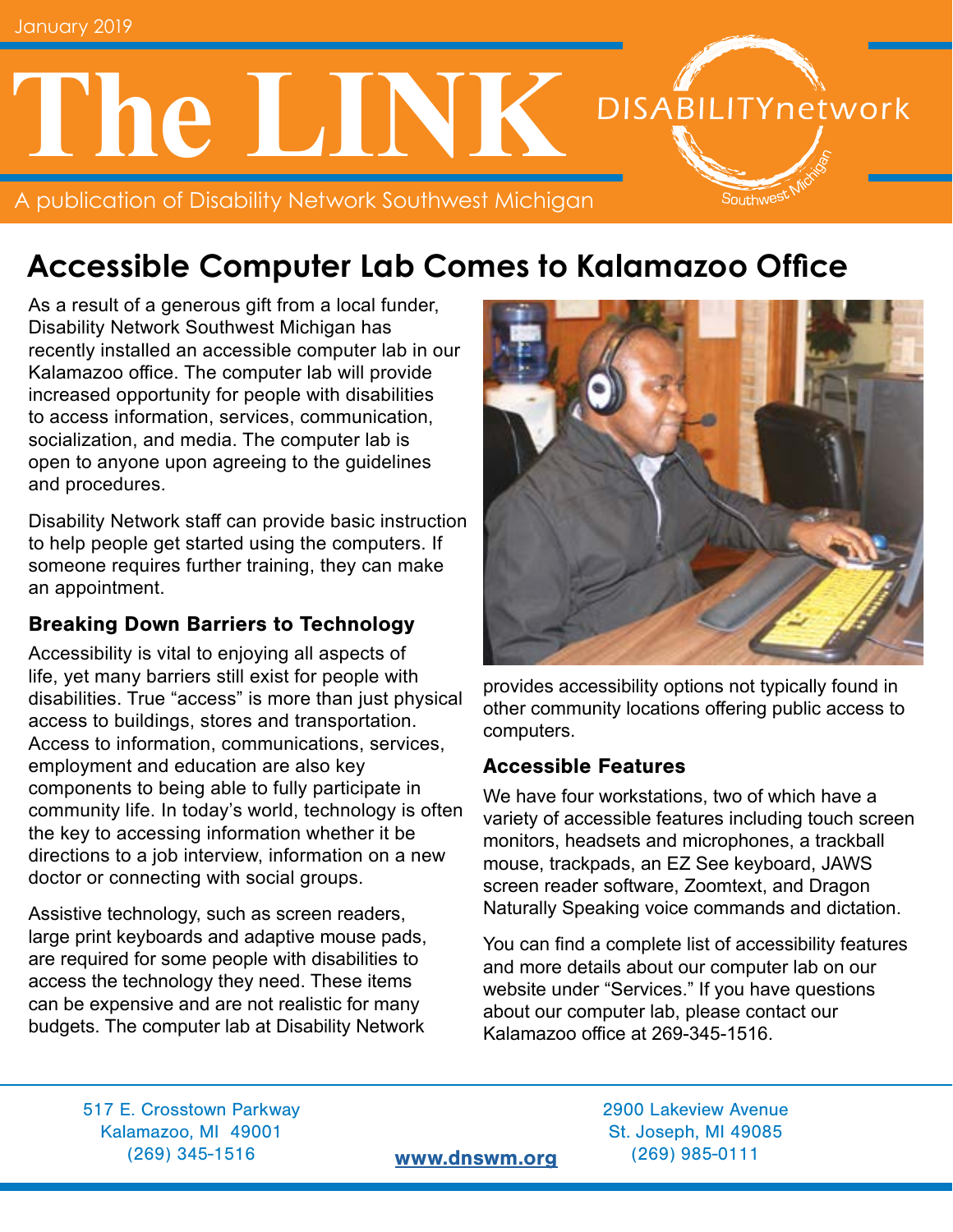# **The LINK DISABILITYnetwork** Southwes<sup>t</sup>

A publication of Disability Network Southwest Michigan

# **Accessible Computer Lab Comes to Kalamazoo Office**

As a result of a generous gift from a local funder, Disability Network Southwest Michigan has recently installed an accessible computer lab in our Kalamazoo office. The computer lab will provide increased opportunity for people with disabilities to access information, services, communication, socialization, and media. The computer lab is open to anyone upon agreeing to the guidelines and procedures.

Disability Network staff can provide basic instruction to help people get started using the computers. If someone requires further training, they can make an appointment.

### Breaking Down Barriers to Technology

Accessibility is vital to enjoying all aspects of life, yet many barriers still exist for people with disabilities. True "access" is more than just physical access to buildings, stores and transportation. Access to information, communications, services, employment and education are also key components to being able to fully participate in community life. In today's world, technology is often the key to accessing information whether it be directions to a job interview, information on a new doctor or connecting with social groups.

Assistive technology, such as screen readers, large print keyboards and adaptive mouse pads, are required for some people with disabilities to access the technology they need. These items can be expensive and are not realistic for many budgets. The computer lab at Disability Network



provides accessibility options not typically found in other community locations offering public access to computers.

#### Accessible Features

We have four workstations, two of which have a variety of accessible features including touch screen monitors, headsets and microphones, a trackball mouse, trackpads, an EZ See keyboard, JAWS screen reader software, Zoomtext, and Dragon Naturally Speaking voice commands and dictation.

You can find a complete list of accessibility features and more details about our computer lab on our website under "Services." If you have questions about our computer lab, please contact our Kalamazoo office at 269-345-1516.

517 E. Crosstown Parkway 2900 Lakeview Avenue Kalamazoo, MI 49001 St. Joseph, MI 49085 (269) 345-1516 [www.dnswm.org](http://www.dnswm.org) (269) 985-0111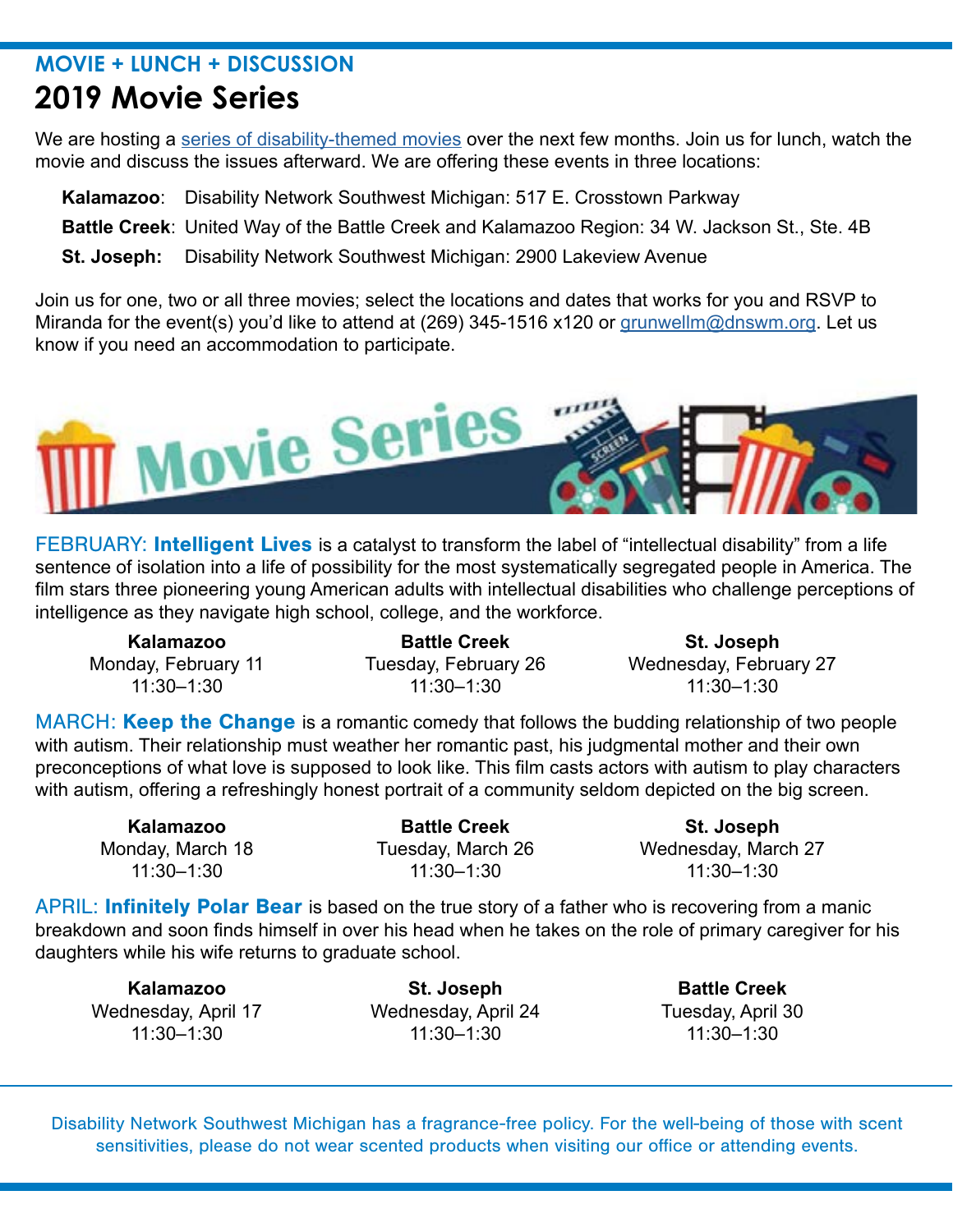### **MOVIE + LUNCH + DISCUSSION 2019 Movie Series**

We are hosting a [series of disability-themed movies](http://www.dnswm.org/lunch-learn-movie-series/) over the next few months. Join us for lunch, watch the movie and discuss the issues afterward. We are offering these events in three locations:

**Kalamazoo**: Disability Network Southwest Michigan: 517 E. Crosstown Parkway

**Battle Creek**: United Way of the Battle Creek and Kalamazoo Region: 34 W. Jackson St., Ste. 4B

**St. Joseph:** Disability Network Southwest Michigan: 2900 Lakeview Avenue

Join us for one, two or all three movies; select the locations and dates that works for you and RSVP to Miranda for the event(s) you'd like to attend at (269) 345-1516 x120 or [grunwellm@dnswm.org](mailto:grunwellm%40dnswm.org?subject=). Let us know if you need an accommodation to participate.



FEBRUARY: Intelligent Lives is a catalyst to transform the label of "intellectual disability" from a life sentence of isolation into a life of possibility for the most systematically segregated people in America. The film stars three pioneering young American adults with intellectual disabilities who challenge perceptions of intelligence as they navigate high school, college, and the workforce.

**Kalamazoo Battle Creek St. Joseph** 11:30–1:30 11:30–1:30 11:30–1:30

Monday, February 11 Tuesday, February 26 Wednesday, February 27<br>11:30–1:30 11:30–1:30 11:30–1:30

MARCH: Keep the Change is a romantic comedy that follows the budding relationship of two people with autism. Their relationship must weather her romantic past, his judgmental mother and their own preconceptions of what love is supposed to look like. This film casts actors with autism to play characters with autism, offering a refreshingly honest portrait of a community seldom depicted on the big screen.

**Kalamazoo Battle Creek St. Joseph** 11:30–1:30 11:30–1:30 11:30–1:30

Monday, March 18 Tuesday, March 26 Wednesday, March 27

APRIL: **Infinitely Polar Bear** is based on the true story of a father who is recovering from a manic breakdown and soon finds himself in over his head when he takes on the role of primary caregiver for his daughters while his wife returns to graduate school.

**Kalamazoo St. Joseph Battle Creek** Wednesday, April 17 Wednesday, April 24 11:30–1:30 11:30–1:30 11:30–1:30

Disability Network Southwest Michigan has a fragrance-free policy. For the well-being of those with scent sensitivities, please do not wear scented products when visiting our office or attending events.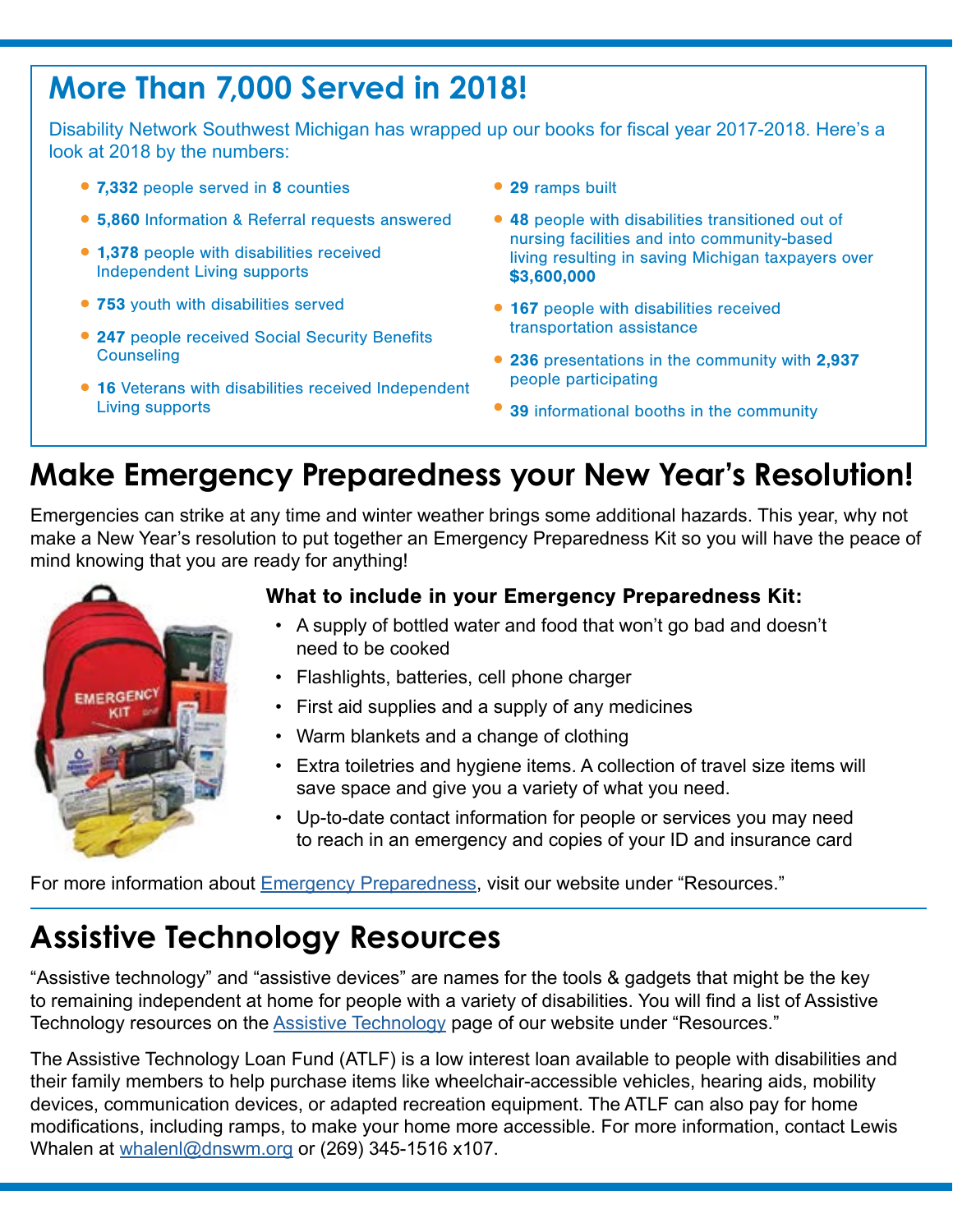# **More Than 7,000 Served in 2018!**

Disability Network Southwest Michigan has wrapped up our books for fiscal year 2017-2018. Here's a look at 2018 by the numbers:

- •7,332 people served in 8 counties
- •5,860 Information & Referral requests answered
- •1,378 people with disabilities received Independent Living supports
- 753 youth with disabilities served
- 247 people received Social Security Benefits **Counseling**
- 16 Veterans with disabilities received Independent Living supports
- 29 ramps built
- •48 people with disabilities transitioned out of nursing facilities and into community-based living resulting in saving Michigan taxpayers over \$3,600,000
- 167 people with disabilities received transportation assistance
- •236 presentations in the community with 2,937 people participating
- 39 informational booths in the community

# **Make Emergency Preparedness your New Year's Resolution!**

Emergencies can strike at any time and winter weather brings some additional hazards. This year, why not make a New Year's resolution to put together an Emergency Preparedness Kit so you will have the peace of mind knowing that you are ready for anything!



### What to include in your Emergency Preparedness Kit:

- A supply of bottled water and food that won't go bad and doesn't need to be cooked
- Flashlights, batteries, cell phone charger
- First aid supplies and a supply of any medicines
- Warm blankets and a change of clothing
- Extra toiletries and hygiene items. A collection of travel size items will save space and give you a variety of what you need.
- Up-to-date contact information for people or services you may need to reach in an emergency and copies of your ID and insurance card

For more information about [Emergency Preparedness](http://www.dnswm.org/resources/information/emergency-preparedness/), visit our website under "Resources."

## **Assistive Technology Resources**

"Assistive technology" and "assistive devices" are names for the tools & gadgets that might be the key to remaining independent at home for people with a variety of disabilities. You will find a list of Assistive Technology resources on the [Assistive Technology](http://www.dnswm.org/services_menu/information-referral/assistive-technology/) page of our website under "Resources."

The Assistive Technology Loan Fund (ATLF) is a low interest loan available to people with disabilities and their family members to help purchase items like wheelchair-accessible vehicles, hearing aids, mobility devices, communication devices, or adapted recreation equipment. The ATLF can also pay for home modifications, including ramps, to make your home more accessible. For more information, contact Lewis Whalen at [whalenl@dnswm.org](mailto:whalenl%40dnswm.org?subject=) or (269) 345-1516 x107.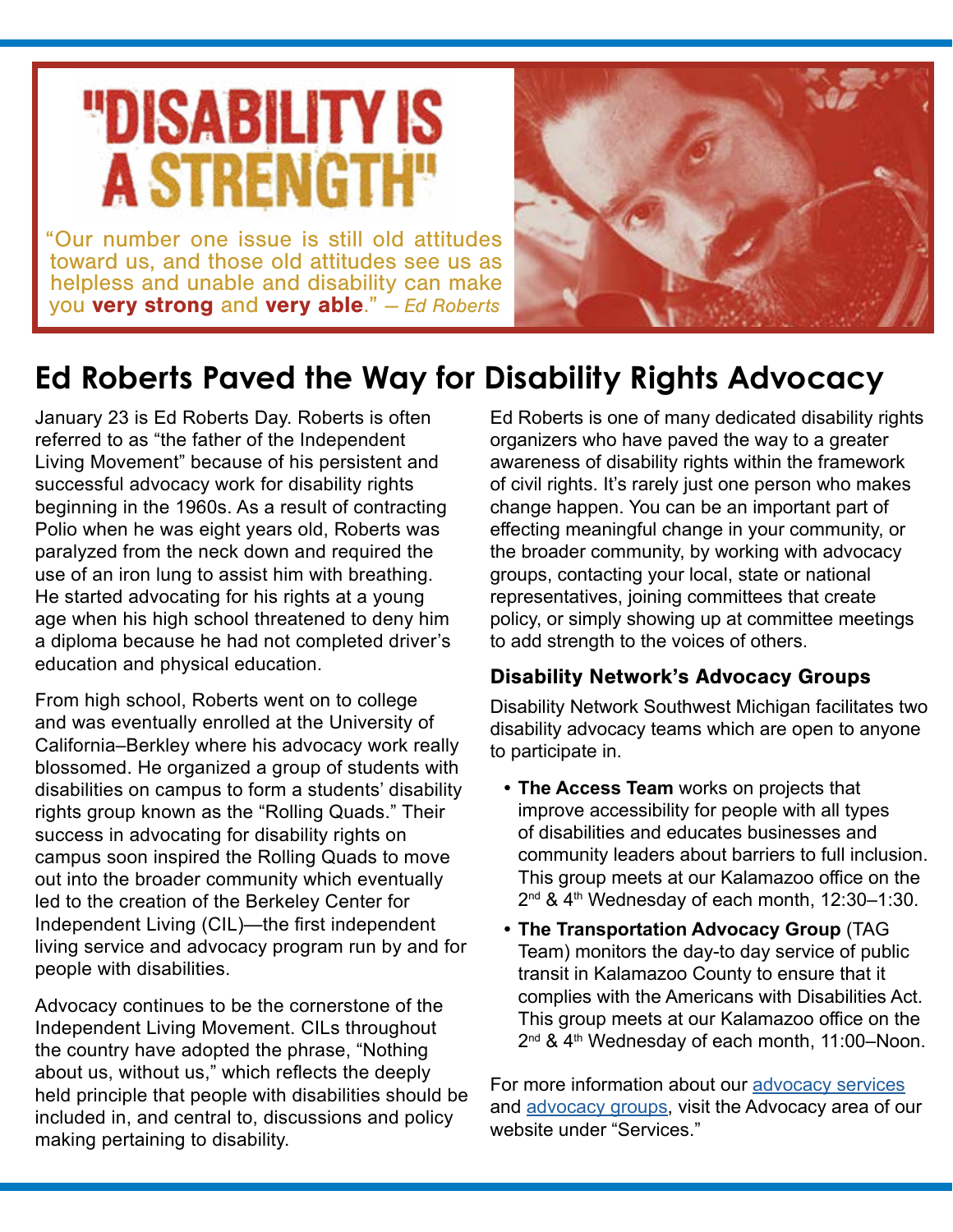# "DISABILITY IS **A STRENGTH**

"Our number one issue is still old attitudes toward us, and those old attitudes see us as helpless and unable and disability can make you very strong and very able." *— Ed Roberts*



# **Ed Roberts Paved the Way for Disability Rights Advocacy**

January 23 is Ed Roberts Day. Roberts is often referred to as "the father of the Independent Living Movement" because of his persistent and successful advocacy work for disability rights beginning in the 1960s. As a result of contracting Polio when he was eight years old, Roberts was paralyzed from the neck down and required the use of an iron lung to assist him with breathing. He started advocating for his rights at a young age when his high school threatened to deny him a diploma because he had not completed driver's education and physical education.

From high school, Roberts went on to college and was eventually enrolled at the University of California–Berkley where his advocacy work really blossomed. He organized a group of students with disabilities on campus to form a students' disability rights group known as the "Rolling Quads." Their success in advocating for disability rights on campus soon inspired the Rolling Quads to move out into the broader community which eventually led to the creation of the Berkeley Center for Independent Living (CIL)—the first independent living service and advocacy program run by and for people with disabilities.

Advocacy continues to be the cornerstone of the Independent Living Movement. CILs throughout the country have adopted the phrase, "Nothing about us, without us," which reflects the deeply held principle that people with disabilities should be included in, and central to, discussions and policy making pertaining to disability.

Ed Roberts is one of many dedicated disability rights organizers who have paved the way to a greater awareness of disability rights within the framework of civil rights. It's rarely just one person who makes change happen. You can be an important part of effecting meaningful change in your community, or the broader community, by working with advocacy groups, contacting your local, state or national representatives, joining committees that create policy, or simply showing up at committee meetings to add strength to the voices of others.

### Disability Network's Advocacy Groups

Disability Network Southwest Michigan facilitates two disability advocacy teams which are open to anyone to participate in.

- **• The Access Team** works on projects that improve accessibility for people with all types of disabilities and educates businesses and community leaders about barriers to full inclusion. This group meets at our Kalamazoo office on the 2nd & 4th Wednesday of each month, 12:30–1:30.
- **• The Transportation Advocacy Group** (TAG Team) monitors the day-to day service of public transit in Kalamazoo County to ensure that it complies with the Americans with Disabilities Act. This group meets at our Kalamazoo office on the 2<sup>nd</sup> & 4<sup>th</sup> Wednesday of each month, 11:00-Noon.

For more information about our [advocacy services](http://www.dnswm.org/services_menu/advocacy-education/disability-rights-advocacy/) and [advocacy groups](http://www.dnswm.org/services_menu/advocacy-education/advocacy-teams/), visit the Advocacy area of our website under "Services."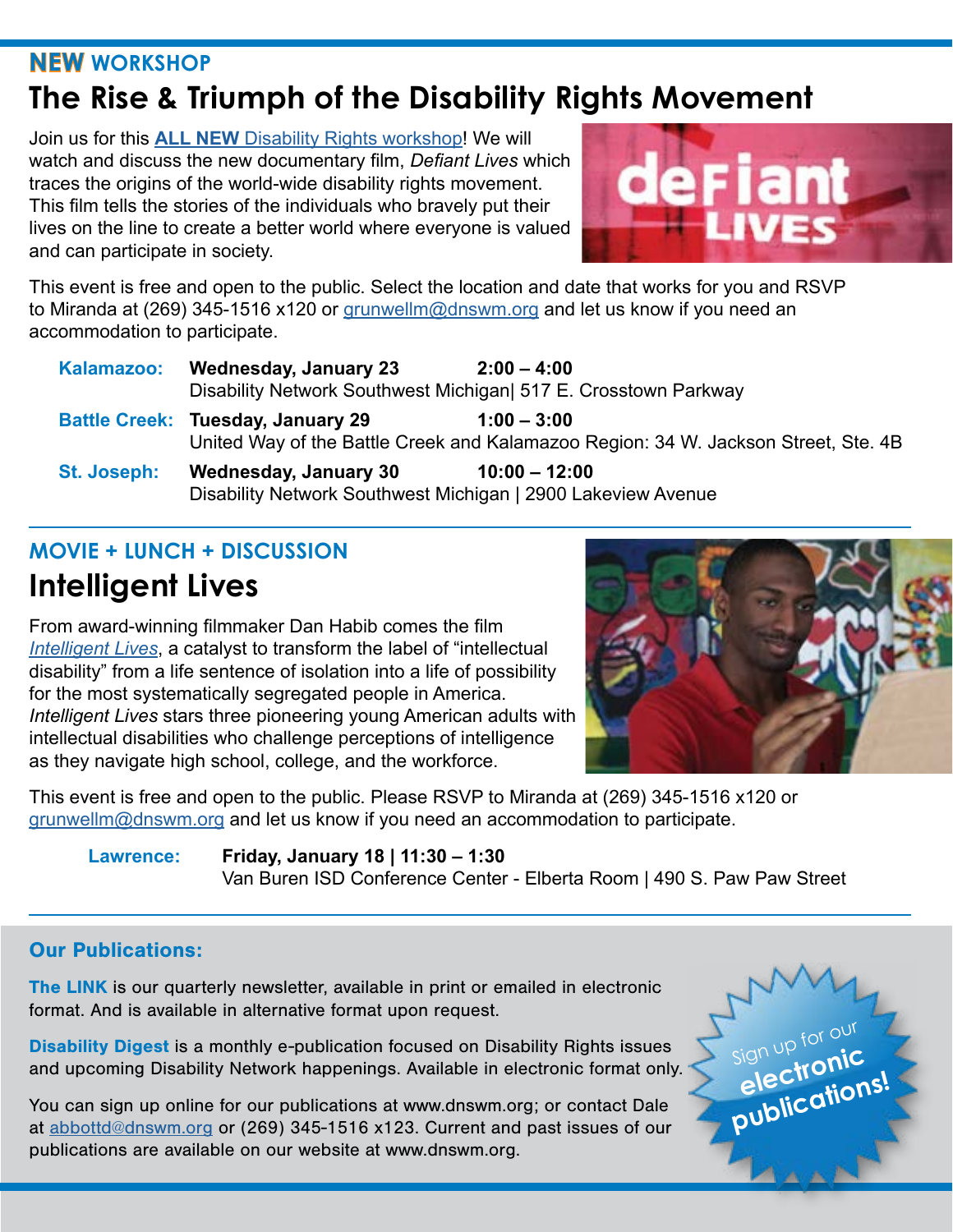### **NEW WORKSHOP The Rise & Triumph of the Disability Rights Movement**

Join us for this **ALL NEW** [Disability Rights workshop](http://www.dnswm.org/rise-triumph/)! We will watch and discuss the new documentary film, *Defiant Lives* which traces the origins of the world-wide disability rights movement. This film tells the stories of the individuals who bravely put their lives on the line to create a better world where everyone is valued and can participate in society.



This event is free and open to the public. Select the location and date that works for you and RSVP to Miranda at (269) 345-1516 x120 or [grunwellm@dnswm.org](mailto:?subject=) and let us know if you need an accommodation to participate.

| Kalamazoo:  | <b>Wednesday, January 23</b>                                                                 | $2:00 - 4:00$                                                                                       |
|-------------|----------------------------------------------------------------------------------------------|-----------------------------------------------------------------------------------------------------|
|             | Disability Network Southwest Michigan 517 E. Crosstown Parkway                               |                                                                                                     |
|             | <b>Battle Creek: Tuesday, January 29</b>                                                     | $1:00 - 3:00$<br>United Way of the Battle Creek and Kalamazoo Region: 34 W. Jackson Street, Ste. 4B |
| St. Joseph: | <b>Wednesday, January 30</b><br>Disability Network Southwest Michigan   2900 Lakeview Avenue | $10:00 - 12:00$                                                                                     |

### **MOVIE + LUNCH + DISCUSSION Intelligent Lives**

From award-winning filmmaker Dan Habib comes the film *[Intelligent Lives](http://www.dnswm.org/lunch-learn-intelligent-lives-vb-2019/)*, a catalyst to transform the label of "intellectual disability" from a life sentence of isolation into a life of possibility for the most systematically segregated people in America. *Intelligent Lives* stars three pioneering young American adults with intellectual disabilities who challenge perceptions of intelligence as they navigate high school, college, and the workforce.



This event is free and open to the public. Please RSVP to Miranda at (269) 345-1516 x120 or [grunwellm@dnswm.org](mailto:grunwellm%40dnswm.org?subject=) and let us know if you need an accommodation to participate.

**Lawrence: Friday, January 18 | 11:30 – 1:30**  Van Buren ISD Conference Center - Elberta Room | 490 S. Paw Paw Street

### Our Publications:

The LINK is our quarterly newsletter, available in print or emailed in electronic format. And is available in alternative format upon request.

Disability Digest is a monthly e-publication focused on Disability Rights issues and upcoming Disability Network happenings. Available in electronic format only.

You can sign up online for our publications at www.dnswm.org; or contact Dale at [abbottd@dnswm.org](mailto:abbottd%40dnswm.org?subject=) or (269) 345-1516 x123. Current and past issues of our publications are available on our website at www.dnswm.org.